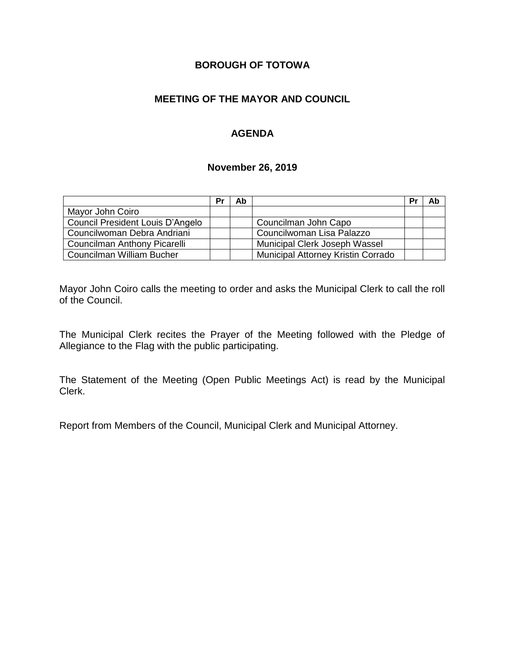# **BOROUGH OF TOTOWA**

# **MEETING OF THE MAYOR AND COUNCIL**

## **AGENDA**

#### **November 26, 2019**

|                                  | Pr | Ab |                                    | Pr | Ab |
|----------------------------------|----|----|------------------------------------|----|----|
| Mayor John Coiro                 |    |    |                                    |    |    |
| Council President Louis D'Angelo |    |    | Councilman John Capo               |    |    |
| Councilwoman Debra Andriani      |    |    | Councilwoman Lisa Palazzo          |    |    |
| Councilman Anthony Picarelli     |    |    | Municipal Clerk Joseph Wassel      |    |    |
| Councilman William Bucher        |    |    | Municipal Attorney Kristin Corrado |    |    |

Mayor John Coiro calls the meeting to order and asks the Municipal Clerk to call the roll of the Council.

The Municipal Clerk recites the Prayer of the Meeting followed with the Pledge of Allegiance to the Flag with the public participating.

The Statement of the Meeting (Open Public Meetings Act) is read by the Municipal Clerk.

Report from Members of the Council, Municipal Clerk and Municipal Attorney.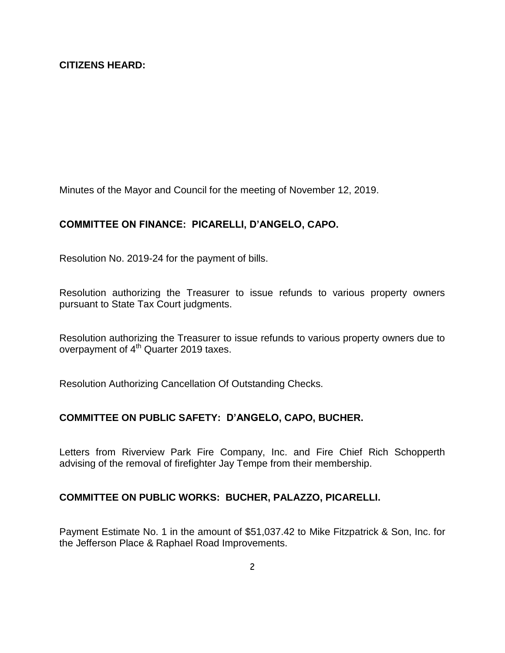Minutes of the Mayor and Council for the meeting of November 12, 2019.

## **COMMITTEE ON FINANCE: PICARELLI, D'ANGELO, CAPO.**

Resolution No. 2019-24 for the payment of bills.

Resolution authorizing the Treasurer to issue refunds to various property owners pursuant to State Tax Court judgments.

Resolution authorizing the Treasurer to issue refunds to various property owners due to overpayment of 4<sup>th</sup> Quarter 2019 taxes.

Resolution Authorizing Cancellation Of Outstanding Checks.

## **COMMITTEE ON PUBLIC SAFETY: D'ANGELO, CAPO, BUCHER.**

Letters from Riverview Park Fire Company, Inc. and Fire Chief Rich Schopperth advising of the removal of firefighter Jay Tempe from their membership.

## **COMMITTEE ON PUBLIC WORKS: BUCHER, PALAZZO, PICARELLI.**

Payment Estimate No. 1 in the amount of \$51,037.42 to Mike Fitzpatrick & Son, Inc. for the Jefferson Place & Raphael Road Improvements.